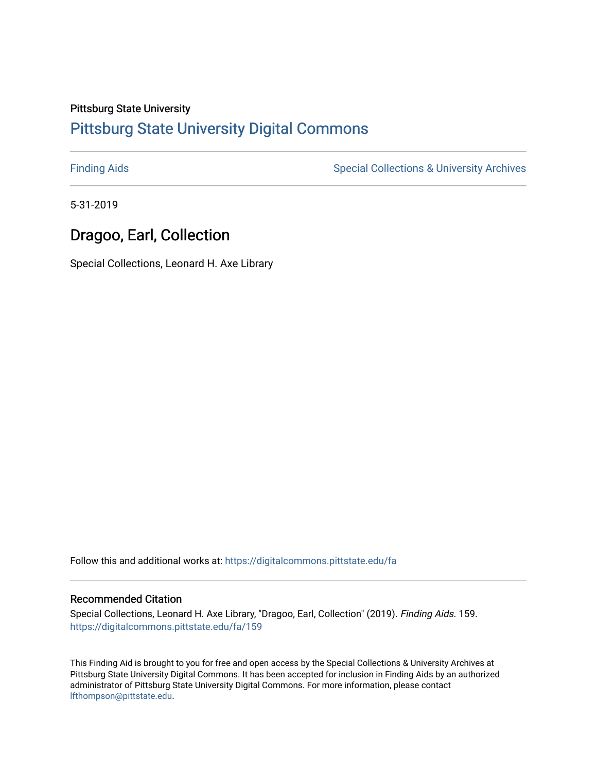## Pittsburg State University [Pittsburg State University Digital Commons](https://digitalcommons.pittstate.edu/)

[Finding Aids](https://digitalcommons.pittstate.edu/fa) **Special Collections & University Archives** Special Collections & University Archives

5-31-2019

# Dragoo, Earl, Collection

Special Collections, Leonard H. Axe Library

Follow this and additional works at: [https://digitalcommons.pittstate.edu/fa](https://digitalcommons.pittstate.edu/fa?utm_source=digitalcommons.pittstate.edu%2Ffa%2F159&utm_medium=PDF&utm_campaign=PDFCoverPages) 

#### Recommended Citation

Special Collections, Leonard H. Axe Library, "Dragoo, Earl, Collection" (2019). Finding Aids. 159. [https://digitalcommons.pittstate.edu/fa/159](https://digitalcommons.pittstate.edu/fa/159?utm_source=digitalcommons.pittstate.edu%2Ffa%2F159&utm_medium=PDF&utm_campaign=PDFCoverPages) 

This Finding Aid is brought to you for free and open access by the Special Collections & University Archives at Pittsburg State University Digital Commons. It has been accepted for inclusion in Finding Aids by an authorized administrator of Pittsburg State University Digital Commons. For more information, please contact [lfthompson@pittstate.edu.](mailto:lfthompson@pittstate.edu)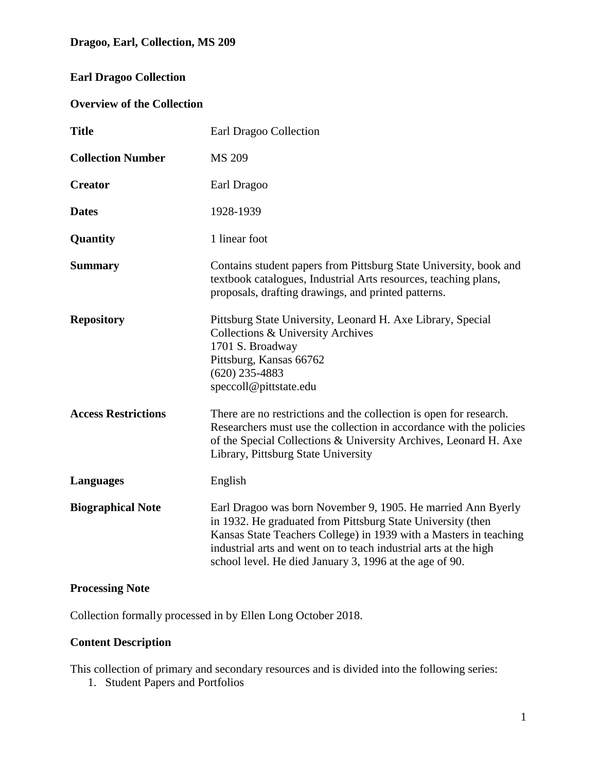## **Earl Dragoo Collection**

#### **Overview of the Collection**

| <b>Title</b>               | Earl Dragoo Collection                                                                                                                                                                                                                                                                                                          |
|----------------------------|---------------------------------------------------------------------------------------------------------------------------------------------------------------------------------------------------------------------------------------------------------------------------------------------------------------------------------|
| <b>Collection Number</b>   | MS 209                                                                                                                                                                                                                                                                                                                          |
| <b>Creator</b>             | Earl Dragoo                                                                                                                                                                                                                                                                                                                     |
| <b>Dates</b>               | 1928-1939                                                                                                                                                                                                                                                                                                                       |
| Quantity                   | 1 linear foot                                                                                                                                                                                                                                                                                                                   |
| <b>Summary</b>             | Contains student papers from Pittsburg State University, book and<br>textbook catalogues, Industrial Arts resources, teaching plans,<br>proposals, drafting drawings, and printed patterns.                                                                                                                                     |
| <b>Repository</b>          | Pittsburg State University, Leonard H. Axe Library, Special<br>Collections & University Archives<br>1701 S. Broadway<br>Pittsburg, Kansas 66762<br>$(620)$ 235-4883<br>speccoll@pittstate.edu                                                                                                                                   |
| <b>Access Restrictions</b> | There are no restrictions and the collection is open for research.<br>Researchers must use the collection in accordance with the policies<br>of the Special Collections & University Archives, Leonard H. Axe<br>Library, Pittsburg State University                                                                            |
| <b>Languages</b>           | English                                                                                                                                                                                                                                                                                                                         |
| <b>Biographical Note</b>   | Earl Dragoo was born November 9, 1905. He married Ann Byerly<br>in 1932. He graduated from Pittsburg State University (then<br>Kansas State Teachers College) in 1939 with a Masters in teaching<br>industrial arts and went on to teach industrial arts at the high<br>school level. He died January 3, 1996 at the age of 90. |
|                            |                                                                                                                                                                                                                                                                                                                                 |

## **Processing Note**

Collection formally processed in by Ellen Long October 2018.

### **Content Description**

This collection of primary and secondary resources and is divided into the following series:

1. Student Papers and Portfolios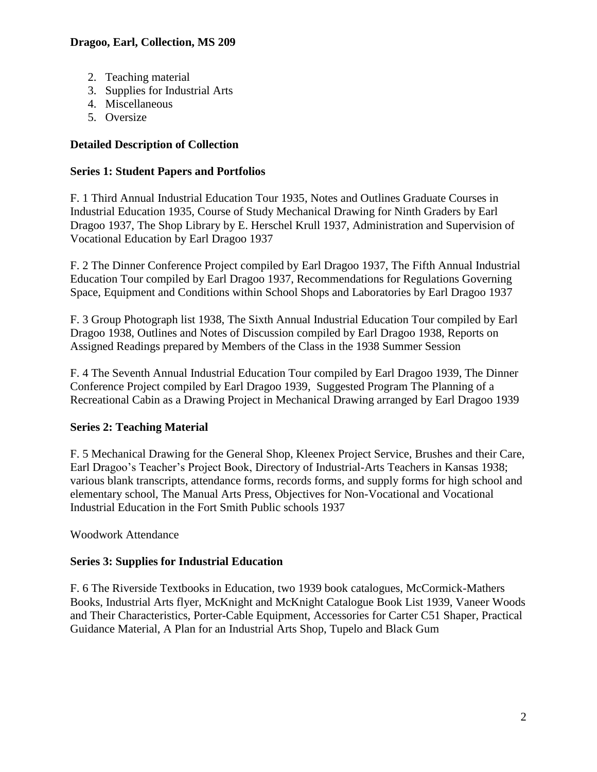#### **Dragoo, Earl, Collection, MS 209**

- 2. Teaching material
- 3. Supplies for Industrial Arts
- 4. Miscellaneous
- 5. Oversize

## **Detailed Description of Collection**

## **Series 1: Student Papers and Portfolios**

F. 1 Third Annual Industrial Education Tour 1935, Notes and Outlines Graduate Courses in Industrial Education 1935, Course of Study Mechanical Drawing for Ninth Graders by Earl Dragoo 1937, The Shop Library by E. Herschel Krull 1937, Administration and Supervision of Vocational Education by Earl Dragoo 1937

F. 2 The Dinner Conference Project compiled by Earl Dragoo 1937, The Fifth Annual Industrial Education Tour compiled by Earl Dragoo 1937, Recommendations for Regulations Governing Space, Equipment and Conditions within School Shops and Laboratories by Earl Dragoo 1937

F. 3 Group Photograph list 1938, The Sixth Annual Industrial Education Tour compiled by Earl Dragoo 1938, Outlines and Notes of Discussion compiled by Earl Dragoo 1938, Reports on Assigned Readings prepared by Members of the Class in the 1938 Summer Session

F. 4 The Seventh Annual Industrial Education Tour compiled by Earl Dragoo 1939, The Dinner Conference Project compiled by Earl Dragoo 1939, Suggested Program The Planning of a Recreational Cabin as a Drawing Project in Mechanical Drawing arranged by Earl Dragoo 1939

## **Series 2: Teaching Material**

F. 5 Mechanical Drawing for the General Shop, Kleenex Project Service, Brushes and their Care, Earl Dragoo's Teacher's Project Book, Directory of Industrial-Arts Teachers in Kansas 1938; various blank transcripts, attendance forms, records forms, and supply forms for high school and elementary school, The Manual Arts Press, Objectives for Non-Vocational and Vocational Industrial Education in the Fort Smith Public schools 1937

Woodwork Attendance

## **Series 3: Supplies for Industrial Education**

F. 6 The Riverside Textbooks in Education, two 1939 book catalogues, McCormick-Mathers Books, Industrial Arts flyer, McKnight and McKnight Catalogue Book List 1939, Vaneer Woods and Their Characteristics, Porter-Cable Equipment, Accessories for Carter C51 Shaper, Practical Guidance Material, A Plan for an Industrial Arts Shop, Tupelo and Black Gum